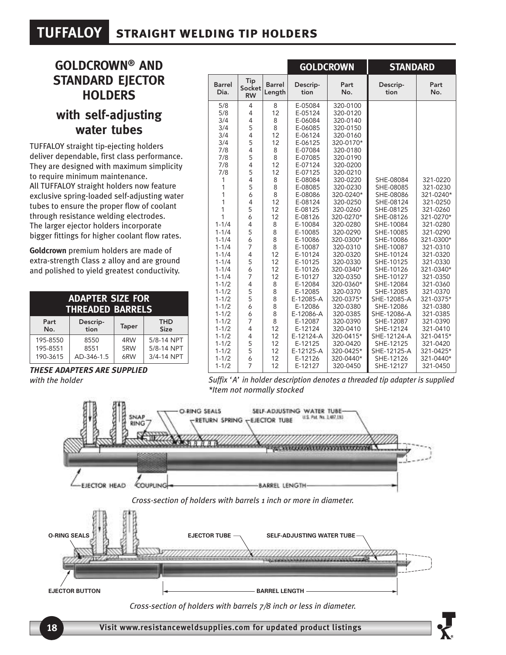## **TUFFALOY straight welding tip holders**

### **GOLDCROWN® AND STANDARD EJECTOR HOLDERS with self-adjusting**

#### **water tubes**

TUFFALOY straight tip-ejecting holders deliver dependable, first class performance. They are designed with maximum simplicity to require minimum maintenance. All TUFFALOY straight holders now feature exclusive spring-loaded self-adjusting water tubes to ensure the proper flow of coolant through resistance welding electrodes. The larger ejector holders incorporate bigger fittings for higher coolant flow rates.

**Goldcrown** premium holders are made of extra-strength Class 2 alloy and are ground and polished to yield greatest conductivity.

| <b>ADAPTER SIZE FOR</b><br><b>THREADED BARRELS</b> |            |       |             |  |  |  |
|----------------------------------------------------|------------|-------|-------------|--|--|--|
| Part                                               | Descrip-   | Taper | <b>THD</b>  |  |  |  |
| No.                                                | tion       |       | <b>Size</b> |  |  |  |
| 195-8550                                           | 8550       | 4RW   | 5/8-14 NPT  |  |  |  |
| 195-8551                                           | 8551       | 5RW   | 5/8-14 NPT  |  |  |  |
| 190-3615                                           | AD-346-1.5 | 6RW   | 3/4-14 NPT  |  |  |  |

*THESE ADAPTERS ARE SUPPLIED with the holder*

|                       |                            |                         | <b>GOLDCROWN</b> |             | <b>STANDARD</b>  |             |
|-----------------------|----------------------------|-------------------------|------------------|-------------|------------------|-------------|
| <b>Barrel</b><br>Dia. | Tip<br>Socket<br><b>RW</b> | <b>Barrel</b><br>Length | Descrip-<br>tion | Part<br>No. | Descrip-<br>tion | Part<br>No. |
| 5/8                   | $\overline{4}$             | 8                       | E-05084          | 320-0100    |                  |             |
| 5/8                   | 4                          | 12                      | E-05124          | 320-0120    |                  |             |
| 3/4                   | 4                          | 8                       | E-06084          | 320-0140    |                  |             |
| 3/4                   | 5                          | 8                       | E-06085          | 320-0150    |                  |             |
| 3/4                   | $\overline{4}$             | 12                      | E-06124          | 320-0160    |                  |             |
| 3/4                   | 5                          | 12                      | E-06125          | 320-0170*   |                  |             |
| 7/8                   | 4                          | 8                       | E-07084          | 320-0180    |                  |             |
| 7/8                   | 5                          | 8                       | E-07085          | 320-0190    |                  |             |
| 7/8                   | 4                          | 12                      | E-07124          | 320-0200    |                  |             |
| 7/8                   | 5                          | 12                      | E-07125          | 320-0210    |                  |             |
| 1                     | 4                          | 8                       | E-08084          | 320-0220    | SHE-08084        | 321-0220    |
| 1                     | 5                          | 8                       | E-08085          | 320-0230    | SHE-08085        | 321-0230    |
| 1                     | 6                          | 8                       | E-08086          | 320-0240*   | SHE-08086        | 321-0240*   |
| 1                     | 4                          | 12                      | E-08124          | 320-0250    | SHE-08124        | 321-0250    |
| 1                     | 5                          | 12                      | E-08125          | 320-0260    | SHE-08125        | 321-0260    |
| 1                     | 6                          | 12                      | E-08126          | 320-0270*   | SHE-08126        | 321-0270*   |
| $1 - 1/4$             | 4                          | 8                       | E-10084          | 320-0280    | SHE-10084        | 321-0280    |
| $1 - 1/4$             | 5                          | 8                       | E-10085          | 320-0290    | SHE-10085        | 321-0290    |
| $1 - 1/4$             | 6                          | 8                       | E-10086          | 320-0300*   | SHE-10086        | 321-0300*   |
| $1 - 1/4$             | 7                          | 8                       | E-10087          | 320-0310    | SHE-10087        | 321-0310    |
| $1 - 1/4$             | $\overline{4}$             | 12                      | E-10124          | 320-0320    | SHE-10124        | 321-0320    |
| $1 - 1/4$             | 5                          | 12                      | E-10125          | 320-0330    | SHE-10125        | 321-0330    |
| $1 - 1/4$             | 6                          | 12                      | E-10126          | 320-0340*   | SHE-10126        | 321-0340*   |
| $1 - 1/4$             | 7                          | 12                      | E-10127          | 320-0350    | SHE-10127        | 321-0350    |
| $1 - 1/2$             | 4                          | 8                       | E-12084          | 320-0360*   | SHE-12084        | 321-0360    |
| $1 - 1/2$             | 5                          | 8                       | E-12085          | 320-0370    | SHE-12085        | 321-0370    |
| $1 - 1/2$             | 5                          | 8                       | E-12085-A        | 320-0375*   | SHE-12085-A      | 321-0375*   |
| $1 - 1/2$             | 6                          | 8                       | E-12086          | 320-0380    | SHE-12086        | 321-0380    |
| $1 - 1/2$             | 6                          | 8                       | E-12086-A        | 320-0385    | SHE-12086-A      | 321-0385    |
| $1 - 1/2$             | $\overline{7}$             | 8                       | E-12087          | 320-0390    | SHE-12087        | 321-0390    |
| $1 - 1/2$             | 4                          | 12                      | E-12124          | 320-0410    | SHE-12124        | 321-0410    |
| $1 - 1/2$             | 4                          | 12                      | E-12124-A        | 320-0415*   | SHE-12124-A      | 321-0415*   |
| $1 - 1/2$             | 5                          | 12                      | E-12125          | 320-0420    | SHE-12125        | 321-0420    |
| $1 - 1/2$             | 5                          | 12                      | E-12125-A        | 320-0425*   | SHE-12125-A      | 321-0425*   |
| $1 - 1/2$             | 6                          | 12                      | E-12126          | 320-0440*   | SHE-12126        | 321-0440*   |
| $1 - 1/2$             | 7                          | 12                      | E-12127          | 320-0450    | SHE-12127        | 321-0450    |

*Suffix 'A' in holder description denotes a threaded tip adapter is supplied \*Item not normally stocked*



*Cross-section of holders with barrels 7/8 inch or less in diameter.*

**Visit <www.resistanceweldsupplies.com> for updated product listings**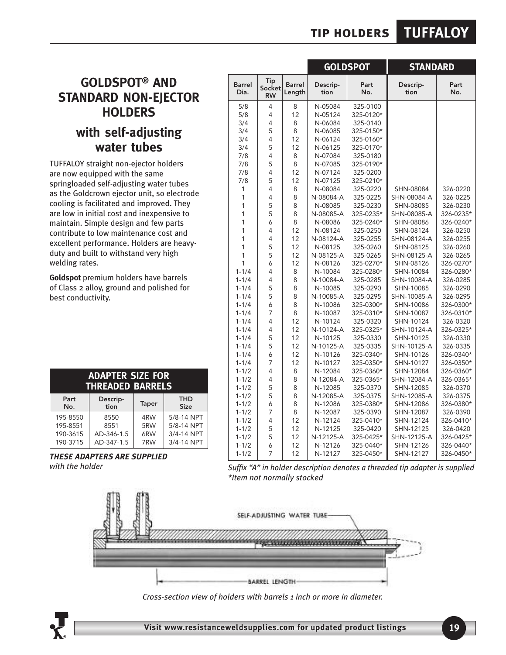### **tip holders TUFFALOY**

#### **GOLDSPOT® AND STANDARD NON-EJECTOR HOLDERS with self-adjusting water tubes**

TUFFALOY straight non-ejector holders are now equipped with the same springloaded self-adjusting water tubes as the Goldcrown ejector unit, so electrode cooling is facilitated and improved. They are low in initial cost and inexpensive to maintain. Simple design and few parts contribute to low maintenance cost and excellent performance. Holders are heavyduty and built to withstand very high welding rates.

**Goldspot** premium holders have barrels of Class 2 alloy, ground and polished for best conductivity.

| <b>ADAPTER SIZE FOR</b><br><b>THREADED BARRELS</b> |              |                           |  |  |  |  |
|----------------------------------------------------|--------------|---------------------------|--|--|--|--|
| Descrip-<br>tion                                   | <b>Taper</b> | <b>THD</b><br><b>Size</b> |  |  |  |  |
| 8550                                               | 4RW          | 5/8-14 NPT                |  |  |  |  |
| 8551                                               | 5RW          | 5/8-14 NPT                |  |  |  |  |
| AD-346-1.5                                         | 6RW          | 3/4-14 NPT                |  |  |  |  |
| AD-347-1.5                                         | 7RW          | 3/4-14 NPT                |  |  |  |  |
|                                                    |              |                           |  |  |  |  |

*THESE ADAPTERS ARE SUPPLIED with the holder*

|                       |                            |                         | <b>GOLDSPOT</b>  |             | <b>STANDARD</b>  |             |
|-----------------------|----------------------------|-------------------------|------------------|-------------|------------------|-------------|
| <b>Barrel</b><br>Dia. | Tip<br>Socket<br><b>RW</b> | <b>Barrel</b><br>Length | Descrip-<br>tion | Part<br>No. | Descrip-<br>tion | Part<br>No. |
| 5/8                   | 4                          | 8                       | N-05084          | 325-0100    |                  |             |
| 5/8                   | 4                          | 12                      | N-05124          | 325-0120*   |                  |             |
| 3/4                   | 4                          | 8                       | N-06084          | 325-0140    |                  |             |
| 3/4                   | 5                          | 8                       | N-06085          | 325-0150*   |                  |             |
| 3/4                   | 4                          | 12                      | N-06124          | 325-0160*   |                  |             |
| 3/4                   | 5                          | 12                      | N-06125          | 325-0170*   |                  |             |
| 7/8                   | 4                          | 8                       | N-07084          | 325-0180    |                  |             |
| 7/8                   | 5                          | 8                       | N-07085          | 325-0190*   |                  |             |
| 7/8                   | 4                          | 12                      | N-07124          | 325-0200    |                  |             |
| 7/8                   | 5                          | 12                      | N-07125          | 325-0210*   |                  |             |
| 1                     | 4                          | 8                       | N-08084          | 325-0220    | SHN-08084        | 326-0220    |
| 1                     | 4                          | 8                       | N-08084-A        | 325-0225    | SHN-08084-A      | 326-0225    |
| 1                     | 5                          | 8                       | N-08085          | 325-0230    | SHN-08085        | 326-0230    |
| 1                     | 5                          | 8                       | N-08085-A        | 325-0235*   | SHN-08085-A      | 326-0235*   |
| 1                     | 6                          | 8                       | N-08086          | 325-0240*   | SHN-08086        | 326-0240*   |
| 1                     | 4                          | 12                      | N-08124          | 325-0250    | SHN-08124        | 326-0250    |
| 1                     | 4                          | 12                      | N-08124-A        | 325-0255    | SHN-08124-A      | 326-0255    |
| 1                     | 5                          | 12                      | N-08125          | 325-0260    | SHN-08125        | 326-0260    |
| 1                     | 5                          | 12                      | N-08125-A        | 325-0265    | SHN-08125-A      | 326-0265    |
| 1                     | 6                          | 12                      | N-08126          | 325-0270*   | SHN-08126        | 326-0270*   |
| $1 - 1/4$             | 4                          | 8                       | N-10084          | 325-0280*   | SHN-10084        | 326-0280*   |
| $1 - 1/4$             | 4                          | 8                       | N-10084-A        | 325-0285    | SHN-10084-A      | 326-0285    |
| $1 - 1/4$             | 5                          | 8                       | N-10085          | 325-0290    | SHN-10085        | 326-0290    |
| $1 - 1/4$             | 5                          | 8                       | N-10085-A        | 325-0295    | SHN-10085-A      | 326-0295    |
| $1 - 1/4$             | 6                          | 8                       | N-10086          | 325-0300*   | SHN-10086        | 326-0300*   |
| $1 - 1/4$             | 7                          | 8                       | N-10087          | 325-0310*   | SHN-10087        | 326-0310*   |
| $1 - 1/4$             | 4                          | 12                      | N-10124          | 325-0320    | SHN-10124        | 326-0320    |
| $1 - 1/4$             | 4                          | 12                      | N-10124-A        | 325-0325*   | SHN-10124-A      | 326-0325*   |
| $1 - 1/4$             | 5                          | 12                      | N-10125          | 325-0330    | SHN-10125        | 326-0330    |
| $1 - 1/4$             | 5                          | 12                      | N-10125-A        | 325-0335    | SHN-10125-A      | 326-0335    |
| $1 - 1/4$             | 6                          | 12                      | N-10126          | 325-0340*   | SHN-10126        | 326-0340*   |
| $1 - 1/4$             | 7                          | 12                      | N-10127          | 325-0350*   | SHN-10127        | 326-0350*   |
| $1 - 1/2$             | 4                          | 8                       | N-12084          | 325-0360*   | SHN-12084        | 326-0360*   |
| $1 - 1/2$             | 4                          | 8                       | N-12084-A        | 325-0365*   | SHN-12084-A      | 326-0365*   |
| $1 - 1/2$             | 5                          | 8                       | N-12085          | 325-0370    | SHN-12085        | 326-0370    |
| $1 - 1/2$             | 5                          | 8                       | N-12085-A        | 325-0375    | SHN-12085-A      | 326-0375    |
| $1 - 1/2$             | 6                          | 8                       | N-12086          | 325-0380*   | SHN-12086        | 326-0380*   |
| $1 - 1/2$             | 7                          | 8                       | N-12087          | 325-0390    | SHN-12087        | 326-0390    |
| $1 - 1/2$             | 4                          | 12                      | N-12124          | 325-0410*   | SHN-12124        | 326-0410*   |
| $1 - 1/2$             | 5                          | 12                      | N-12125          | 325-0420    | SHN-12125        | 326-0420    |
| $1 - 1/2$             | 5                          | 12                      | N-12125-A        | 325-0425*   | SHN-12125-A      | 326-0425*   |
| $1 - 1/2$             | 6<br>7                     | 12                      | N-12126          | 325-0440*   | SHN-12126        | 326-0440*   |
| $1 - 1/2$             |                            | 12                      | N-12127          | 325-0450*   | SHN-12127        | 326-0450*   |

*Suffix "A" in holder description denotes a threaded tip adapter is supplied \*Item not normally stocked*



*Cross-section view of holders with barrels 1 inch or more in diameter.*

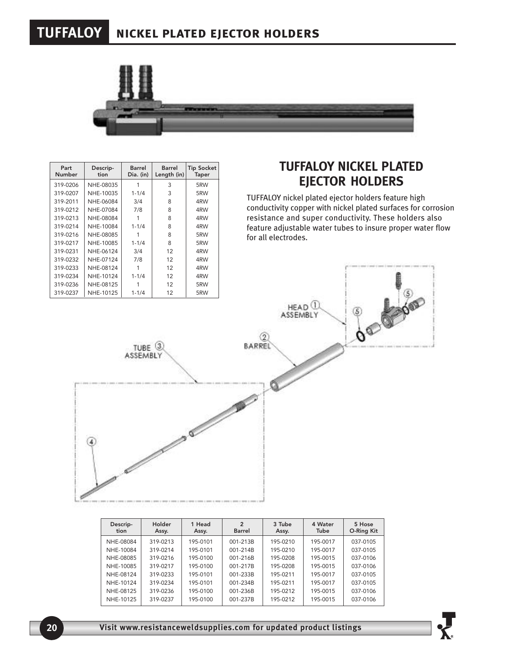# **TUFFALOY nickel plated ejector holders**



| Part<br>Number | Descrip-<br>tion | Barrel<br>Dia. (in) | Barrel<br>Length (in) | <b>Tip Socket</b><br><b>Taper</b> |
|----------------|------------------|---------------------|-----------------------|-----------------------------------|
| 319-0206       | NHE-08035        |                     | 3                     | 5RW                               |
| 319-0207       | NHE-10035        | $1 - 1/4$           | 3                     | 5RW                               |
| 319-2011       | NHE-06084        | 3/4                 | 8                     | 4RW                               |
| 319-0212       | NHE-07084        | 7/8                 | 8                     | 4RW                               |
| 319-0213       | NHE-08084        |                     | 8                     | 4RW                               |
| 319-0214       | NHE-10084        | $1 - 1/4$           | 8                     | 4RW                               |
| 319-0216       | NHE-08085        |                     | 8                     | 5RW                               |
| 319-0217       | NHE-10085        | $1 - 1/4$           | 8                     | 5RW                               |
| 319-0231       | NHE-06124        | 3/4                 | 12                    | 4RW                               |
| 319-0232       | NHE-07124        | 7/8                 | 12                    | 4RW                               |
| 319-0233       | NHE-08124        |                     | 12                    | 4RW                               |
| 319-0234       | NHE-10124        | $1 - 1/4$           | 12                    | 4RW                               |
| 319-0236       | NHE-08125        |                     | 12                    | 5RW                               |
| 319-0237       | NHE-10125        | $1 - 1/4$           | 12                    | 5RW                               |

#### **TUFFALOY NICKEL PLATED EJECTOR HOLDERS**

TUFFALOY nickel plated ejector holders feature high conductivity copper with nickel plated surfaces for corrosion resistance and super conductivity. These holders also feature adjustable water tubes to insure proper water flow for all electrodes.



| Descrip-<br>tion | Holder<br>Assy. | 1 Head<br>Assy. | 2<br><b>Barrel</b> | 3 Tube<br>Assy. | 4 Water<br>Tube | 5 Hose<br>O-Ring Kit |
|------------------|-----------------|-----------------|--------------------|-----------------|-----------------|----------------------|
| NHE-08084        | 319-0213        | 195-0101        | 001-213B           | 195-0210        | 195-0017        | 037-0105             |
| NHE-10084        | 319-0214        | 195-0101        | 001-214B           | 195-0210        | 195-0017        | 037-0105             |
| NHE-08085        | 319-0216        | 195-0100        | 001-216B           | 195-0208        | 195-0015        | 037-0106             |
| NHE-10085        | 319-0217        | 195-0100        | 001-217B           | 195-0208        | 195-0015        | 037-0106             |
| NHE-08124        | 319-0233        | 195-0101        | 001-233B           | 195-0211        | 195-0017        | 037-0105             |
| NHE-10124        | 319-0234        | 195-0101        | 001-234B           | 195-0211        | 195-0017        | 037-0105             |
| NHE-08125        | 319-0236        | 195-0100        | 001-236B           | 195-0212        | 195-0015        | 037-0106             |
| NHE-10125        | 319-0237        | 195-0100        | 001-237B           | 195-0212        | 195-0015        | 037-0106             |